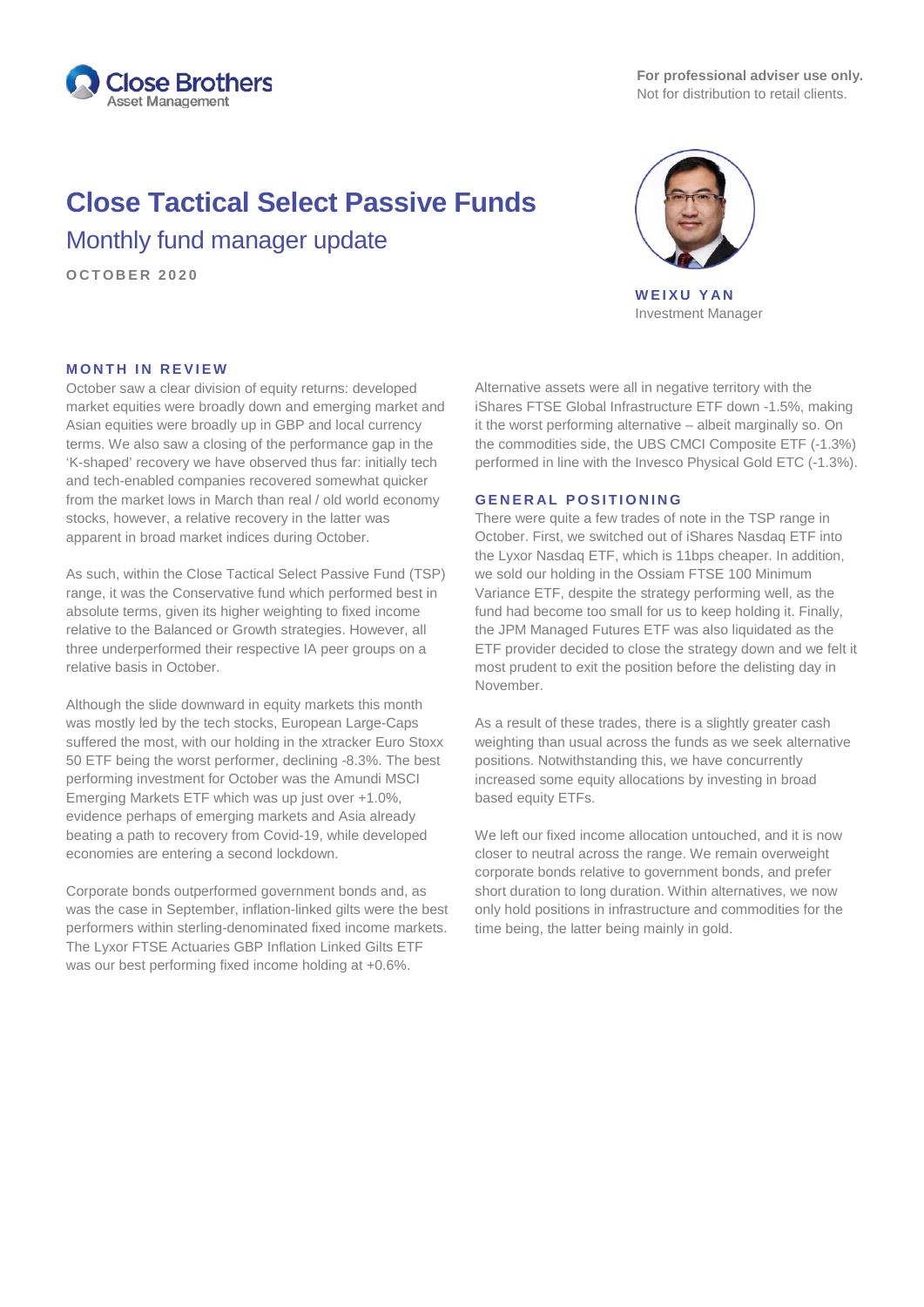

# **Close Tactical Select Passive Funds**

Monthly fund manager update

**OCTOBER 2 0 2 0**



**WEIXU YAN** Investment Manager

### **MONTH IN REVIEW**

October saw a clear division of equity returns: developed market equities were broadly down and emerging market and Asian equities were broadly up in GBP and local currency terms. We also saw a closing of the performance gap in the 'K-shaped' recovery we have observed thus far: initially tech and tech-enabled companies recovered somewhat quicker from the market lows in March than real / old world economy stocks, however, a relative recovery in the latter was apparent in broad market indices during October.

As such, within the Close Tactical Select Passive Fund (TSP) range, it was the Conservative fund which performed best in absolute terms, given its higher weighting to fixed income relative to the Balanced or Growth strategies. However, all three underperformed their respective IA peer groups on a relative basis in October.

Although the slide downward in equity markets this month was mostly led by the tech stocks, European Large-Caps suffered the most, with our holding in the xtracker Euro Stoxx 50 ETF being the worst performer, declining -8.3%. The best performing investment for October was the Amundi MSCI Emerging Markets ETF which was up just over +1.0%, evidence perhaps of emerging markets and Asia already beating a path to recovery from Covid-19, while developed economies are entering a second lockdown.

Corporate bonds outperformed government bonds and, as was the case in September, inflation-linked gilts were the best performers within sterling-denominated fixed income markets. The Lyxor FTSE Actuaries GBP Inflation Linked Gilts ETF was our best performing fixed income holding at +0.6%.

Alternative assets were all in negative territory with the iShares FTSE Global Infrastructure ETF down -1.5%, making it the worst performing alternative – albeit marginally so. On the commodities side, the UBS CMCI Composite ETF (-1.3%) performed in line with the Invesco Physical Gold ETC (-1.3%).

#### **GENERAL POSITIONING**

There were quite a few trades of note in the TSP range in October. First, we switched out of iShares Nasdaq ETF into the Lyxor Nasdaq ETF, which is 11bps cheaper. In addition, we sold our holding in the Ossiam FTSE 100 Minimum Variance ETF, despite the strategy performing well, as the fund had become too small for us to keep holding it. Finally, the JPM Managed Futures ETF was also liquidated as the ETF provider decided to close the strategy down and we felt it most prudent to exit the position before the delisting day in November.

As a result of these trades, there is a slightly greater cash weighting than usual across the funds as we seek alternative positions. Notwithstanding this, we have concurrently increased some equity allocations by investing in broad based equity ETFs.

We left our fixed income allocation untouched, and it is now closer to neutral across the range. We remain overweight corporate bonds relative to government bonds, and prefer short duration to long duration. Within alternatives, we now only hold positions in infrastructure and commodities for the time being, the latter being mainly in gold.